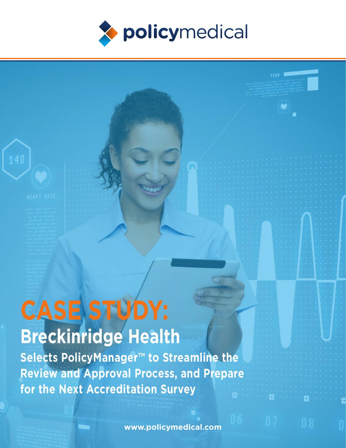

# **CASE STUDY:**

# **Breckinridge Health**

**Selects PolicyManager™ to Streamline the Review and Approval Process, and Prepare for the Next Accreditation Survey**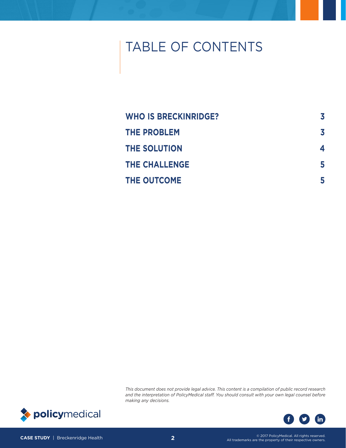# TABLE OF CONTENTS

| <b>WHO IS BRECKINRIDGE?</b> | 3 |
|-----------------------------|---|
| <b>THE PROBLEM</b>          | 3 |
| <b>THE SOLUTION</b>         | 4 |
| <b>THE CHALLENGE</b>        | 5 |
| <b>THE OUTCOME</b>          | 5 |

*This document does not provide legal advice. This content is a compilation of public record research and the interpretation of PolicyMedical staff. You should consult with your own legal counsel before making any decisions.* 



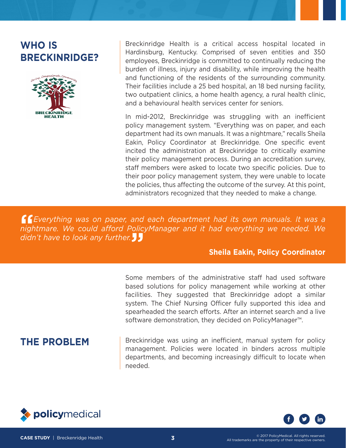# <span id="page-2-0"></span>**WHO IS BRECKINRIDGE?**



Breckinridge Health is a critical access hospital located in Hardinsburg, Kentucky. Comprised of seven entities and 350 employees, Breckinridge is committed to continually reducing the burden of illness, injury and disability, while improving the health and functioning of the residents of the surrounding community. Their facilities include a 25 bed hospital, an 18 bed nursing facility, two outpatient clinics, a home health agency, a rural health clinic, and a behavioural health services center for seniors.

In mid-2012, Breckinridge was struggling with an inefficient policy management system. "Everything was on paper, and each department had its own manuals. It was a nightmare," recalls Sheila Eakin, Policy Coordinator at Breckinridge. One specific event incited the administration at Breckinridge to critically examine their policy management process. During an accreditation survey, staff members were asked to locate two specific policies. Due to their poor policy management system, they were unable to locate the policies, thus affecting the outcome of the survey. At this point, administrators recognized that they needed to make a change.

**"***Everything was on paper, and each department had its own manuals. It was a nightmare. We could afford PolicyManager and it had everything we needed. We didn't have to look any further.***"**

## **Sheila Eakin, Policy Coordinator**

Some members of the administrative staff had used software based solutions for policy management while working at other facilities. They suggested that Breckinridge adopt a similar system. The Chief Nursing Officer fully supported this idea and spearheaded the search efforts. After an internet search and a live software demonstration, they decided on PolicyManager™.

**THE PROBLEM** Breckinridge was using an inefficient, manual system for policy management. Policies were located in binders across multiple departments, and becoming increasingly difficult to locate when needed.



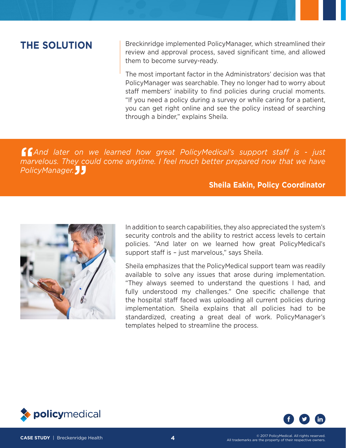<span id="page-3-0"></span>**THE SOLUTION** Breckinridge implemented PolicyManager, which streamlined their review and approval process, saved significant time, and allowed them to become survey-ready.

> The most important factor in the Administrators' decision was that PolicyManager was searchable. They no longer had to worry about staff members' inability to find policies during crucial moments. "If you need a policy during a survey or while caring for a patient, you can get right online and see the policy instead of searching through a binder," explains Sheila.

**"***And later on we learned how great PolicyMedical's support staff is - just marvelous. They could come anytime. I feel much better prepared now that we have PolicyManager.***"**

## **Sheila Eakin, Policy Coordinator**



In addition to search capabilities, they also appreciated the system's security controls and the ability to restrict access levels to certain policies. "And later on we learned how great PolicyMedical's support staff is – just marvelous," says Sheila.

Sheila emphasizes that the PolicyMedical support team was readily available to solve any issues that arose during implementation. "They always seemed to understand the questions I had, and fully understood my challenges." One specific challenge that the hospital staff faced was uploading all current policies during implementation. Sheila explains that all policies had to be standardized, creating a great deal of work. PolicyManager's templates helped to streamline the process.



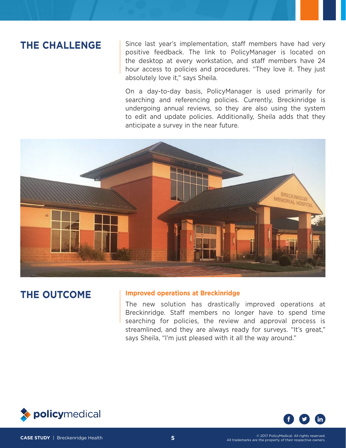# <span id="page-4-0"></span>**THE CHALLENGE**

Since last year's implementation, staff members have had very positive feedback. The link to PolicyManager is located on the desktop at every workstation, and staff members have 24 hour access to policies and procedures. "They love it. They just absolutely love it," says Sheila.

On a day-to-day basis, PolicyManager is used primarily for searching and referencing policies. Currently, Breckinridge is undergoing annual reviews, so they are also using the system to edit and update policies. Additionally, Sheila adds that they anticipate a survey in the near future.



# **THE OUTCOME Improved operations at Breckinridge**

The new solution has drastically improved operations at Breckinridge. Staff members no longer have to spend time searching for policies, the review and approval process is streamlined, and they are always ready for surveys. "It's great," says Sheila, "I'm just pleased with it all the way around."